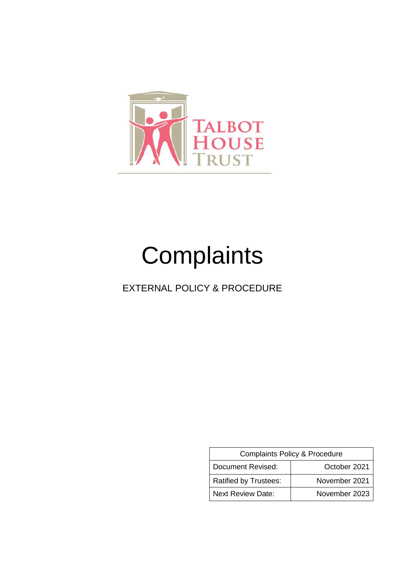

# **Complaints**

EXTERNAL POLICY & PROCEDURE

| Complaints Policy & Procedure |               |  |  |
|-------------------------------|---------------|--|--|
| Document Revised:             | October 2021  |  |  |
| <b>Ratified by Trustees:</b>  | November 2021 |  |  |
| <b>Next Review Date:</b>      | November 2023 |  |  |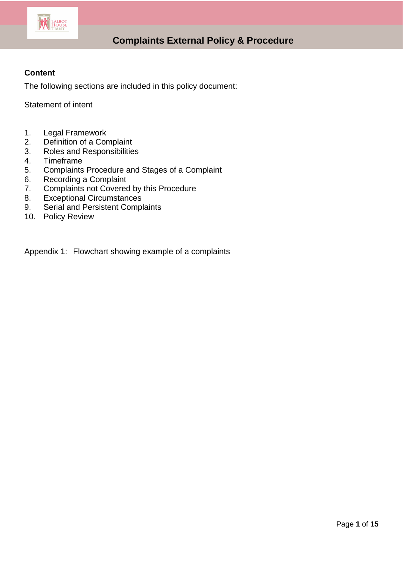

### **Content**

The following sections are included in this policy document:

Statement of intent

- 1. Legal Framework
- 2. Definition of a Complaint
- 3. Roles and Responsibilities<br>4. Timeframe
- **Timeframe**
- 5. Complaints Procedure and Stages of a Complaint
- 6. Recording a Complaint<br>7. Complaints not Covered
- Complaints not Covered by this Procedure
- 8. Exceptional Circumstances
- 9. Serial and Persistent Complaints
- 10. Policy Review

Appendix 1: Flowchart showing example of a complaints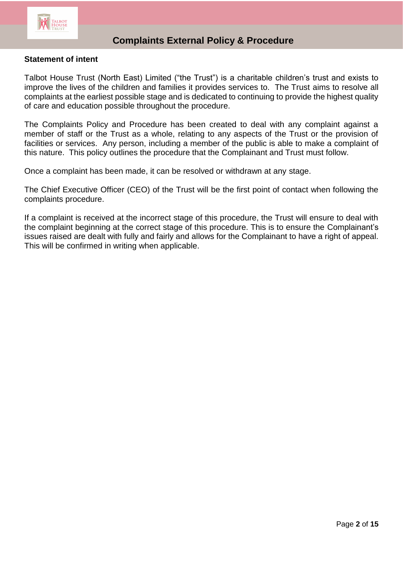

### **Statement of intent**

Talbot House Trust (North East) Limited ("the Trust") is a charitable children's trust and exists to improve the lives of the children and families it provides services to. The Trust aims to resolve all complaints at the earliest possible stage and is dedicated to continuing to provide the highest quality of care and education possible throughout the procedure.

The Complaints Policy and Procedure has been created to deal with any complaint against a member of staff or the Trust as a whole, relating to any aspects of the Trust or the provision of facilities or services. Any person, including a member of the public is able to make a complaint of this nature. This policy outlines the procedure that the Complainant and Trust must follow.

Once a complaint has been made, it can be resolved or withdrawn at any stage.

The Chief Executive Officer (CEO) of the Trust will be the first point of contact when following the complaints procedure.

If a complaint is received at the incorrect stage of this procedure, the Trust will ensure to deal with the complaint beginning at the correct stage of this procedure. This is to ensure the Complainant's issues raised are dealt with fully and fairly and allows for the Complainant to have a right of appeal. This will be confirmed in writing when applicable.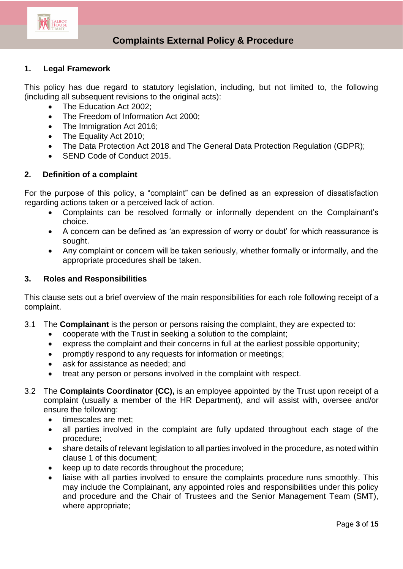

### **1. Legal Framework**

This policy has due regard to statutory legislation, including, but not limited to, the following (including all subsequent revisions to the original acts):

- The Education Act 2002;
- The Freedom of Information Act 2000:
- The Immigration Act 2016;
- The Equality Act 2010;
- The Data Protection Act 2018 and The General Data Protection Regulation (GDPR);
- SEND Code of Conduct 2015.

#### **2. Definition of a complaint**

For the purpose of this policy, a "complaint" can be defined as an expression of dissatisfaction regarding actions taken or a perceived lack of action.

- Complaints can be resolved formally or informally dependent on the Complainant's choice.
- A concern can be defined as 'an expression of worry or doubt' for which reassurance is sought.
- Any complaint or concern will be taken seriously, whether formally or informally, and the appropriate procedures shall be taken.

#### **3. Roles and Responsibilities**

This clause sets out a brief overview of the main responsibilities for each role following receipt of a complaint.

- 3.1 The **Complainant** is the person or persons raising the complaint, they are expected to:
	- cooperate with the Trust in seeking a solution to the complaint;
	- express the complaint and their concerns in full at the earliest possible opportunity;
	- promptly respond to any requests for information or meetings;
	- ask for assistance as needed; and
	- treat any person or persons involved in the complaint with respect.
- 3.2 The **Complaints Coordinator (CC),** is an employee appointed by the Trust upon receipt of a complaint (usually a member of the HR Department), and will assist with, oversee and/or ensure the following:
	- timescales are met:
	- all parties involved in the complaint are fully updated throughout each stage of the procedure;
	- share details of relevant legislation to all parties involved in the procedure, as noted within clause 1 of this document;
	- keep up to date records throughout the procedure;
	- liaise with all parties involved to ensure the complaints procedure runs smoothly. This may include the Complainant, any appointed roles and responsibilities under this policy and procedure and the Chair of Trustees and the Senior Management Team (SMT), where appropriate;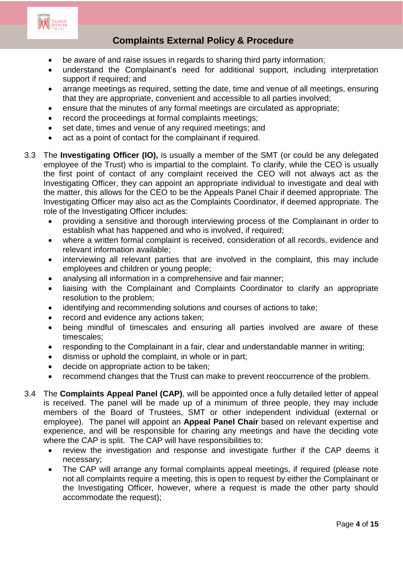

- be aware of and raise issues in regards to sharing third party information;
- understand the Complainant's need for additional support, including interpretation support if required; and
- arrange meetings as required, setting the date, time and venue of all meetings, ensuring that they are appropriate, convenient and accessible to all parties involved;
- ensure that the minutes of any formal meetings are circulated as appropriate;
- record the proceedings at formal complaints meetings;
- set date, times and venue of any required meetings; and
- act as a point of contact for the complainant if required.
- 3.3 The **Investigating Officer (IO),** is usually a member of the SMT (or could be any delegated employee of the Trust) who is impartial to the complaint. To clarify, while the CEO is usually the first point of contact of any complaint received the CEO will not always act as the Investigating Officer, they can appoint an appropriate individual to investigate and deal with the matter, this allows for the CEO to be the Appeals Panel Chair if deemed appropriate. The Investigating Officer may also act as the Complaints Coordinator, if deemed appropriate. The role of the Investigating Officer includes:
	- providing a sensitive and thorough interviewing process of the Complainant in order to establish what has happened and who is involved, if required;
	- where a written formal complaint is received, consideration of all records, evidence and relevant information available;
	- interviewing all relevant parties that are involved in the complaint, this may include employees and children or young people;
	- analysing all information in a comprehensive and fair manner;
	- liaising with the Complainant and Complaints Coordinator to clarify an appropriate resolution to the problem;
	- identifying and recommending solutions and courses of actions to take;
	- record and evidence any actions taken;
	- being mindful of timescales and ensuring all parties involved are aware of these timescales;
	- responding to the Complainant in a fair, clear and understandable manner in writing;
	- dismiss or uphold the complaint, in whole or in part;
	- decide on appropriate action to be taken;
	- recommend changes that the Trust can make to prevent reoccurrence of the problem.
- 3.4 The **Complaints Appeal Panel (CAP)**, will be appointed once a fully detailed letter of appeal is received. The panel will be made up of a minimum of three people, they may include members of the Board of Trustees, SMT or other independent individual (external or employee). The panel will appoint an **Appeal Panel Chair** based on relevant expertise and experience, and will be responsible for chairing any meetings and have the deciding vote where the CAP is split. The CAP will have responsibilities to:
	- review the investigation and response and investigate further if the CAP deems it necessary;
	- The CAP will arrange any formal complaints appeal meetings, if required (please note not all complaints require a meeting, this is open to request by either the Complainant or the Investigating Officer, however, where a request is made the other party should accommodate the request);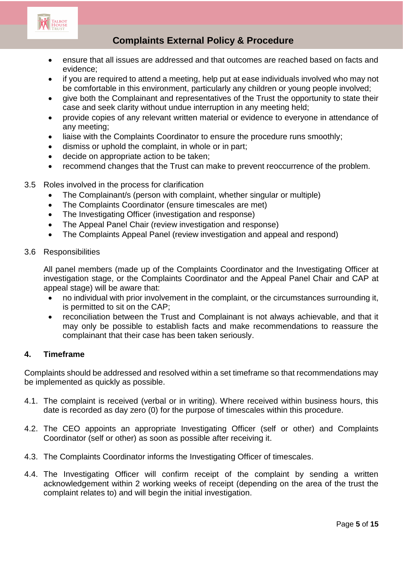

- ensure that all issues are addressed and that outcomes are reached based on facts and evidence;
- if you are required to attend a meeting, help put at ease individuals involved who may not be comfortable in this environment, particularly any children or young people involved;
- give both the Complainant and representatives of the Trust the opportunity to state their case and seek clarity without undue interruption in any meeting held;
- provide copies of any relevant written material or evidence to everyone in attendance of any meeting;
- liaise with the Complaints Coordinator to ensure the procedure runs smoothly;
- dismiss or uphold the complaint, in whole or in part;
- decide on appropriate action to be taken;
- recommend changes that the Trust can make to prevent reoccurrence of the problem.
- 3.5 Roles involved in the process for clarification
	- The Complainant/s (person with complaint, whether singular or multiple)
	- The Complaints Coordinator (ensure timescales are met)
	- The Investigating Officer (investigation and response)
	- The Appeal Panel Chair (review investigation and response)
	- The Complaints Appeal Panel (review investigation and appeal and respond)

#### 3.6 Responsibilities

All panel members (made up of the Complaints Coordinator and the Investigating Officer at investigation stage, or the Complaints Coordinator and the Appeal Panel Chair and CAP at appeal stage) will be aware that:

- no individual with prior involvement in the complaint, or the circumstances surrounding it, is permitted to sit on the CAP;
- reconciliation between the Trust and Complainant is not always achievable, and that it may only be possible to establish facts and make recommendations to reassure the complainant that their case has been taken seriously.

#### **4. Timeframe**

Complaints should be addressed and resolved within a set timeframe so that recommendations may be implemented as quickly as possible.

- 4.1. The complaint is received (verbal or in writing). Where received within business hours, this date is recorded as day zero (0) for the purpose of timescales within this procedure.
- 4.2. The CEO appoints an appropriate Investigating Officer (self or other) and Complaints Coordinator (self or other) as soon as possible after receiving it.
- 4.3. The Complaints Coordinator informs the Investigating Officer of timescales.
- 4.4. The Investigating Officer will confirm receipt of the complaint by sending a written acknowledgement within 2 working weeks of receipt (depending on the area of the trust the complaint relates to) and will begin the initial investigation.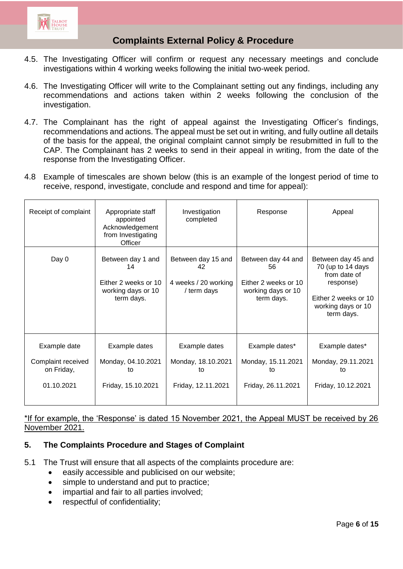

- 4.5. The Investigating Officer will confirm or request any necessary meetings and conclude investigations within 4 working weeks following the initial two-week period.
- 4.6. The Investigating Officer will write to the Complainant setting out any findings, including any recommendations and actions taken within 2 weeks following the conclusion of the investigation.
- 4.7. The Complainant has the right of appeal against the Investigating Officer's findings, recommendations and actions. The appeal must be set out in writing, and fully outline all details of the basis for the appeal, the original complaint cannot simply be resubmitted in full to the CAP. The Complainant has 2 weeks to send in their appeal in writing, from the date of the response from the Investigating Officer.
- 4.8 Example of timescales are shown below (this is an example of the longest period of time to receive, respond, investigate, conclude and respond and time for appeal):

| Receipt of complaint                                           | Appropriate staff<br>appointed<br>Acknowledgement<br>from Investigating<br>Officer  | Investigation<br>completed                                      | Response                                                                             | Appeal                                                                                                                           |
|----------------------------------------------------------------|-------------------------------------------------------------------------------------|-----------------------------------------------------------------|--------------------------------------------------------------------------------------|----------------------------------------------------------------------------------------------------------------------------------|
| Day 0                                                          | Between day 1 and<br>14<br>Either 2 weeks or 10<br>working days or 10<br>term days. | Between day 15 and<br>42<br>4 weeks / 20 working<br>/ term days | Between day 44 and<br>56<br>Either 2 weeks or 10<br>working days or 10<br>term days. | Between day 45 and<br>70 (up to 14 days<br>from date of<br>response)<br>Either 2 weeks or 10<br>working days or 10<br>term days. |
| Example date<br>Complaint received<br>on Friday,<br>01.10.2021 | Example dates<br>Monday, 04.10.2021<br>to<br>Friday, 15.10.2021                     | Example dates<br>Monday, 18.10.2021<br>to<br>Friday, 12.11.2021 | Example dates*<br>Monday, 15.11.2021<br>to<br>Friday, 26.11.2021                     | Example dates*<br>Monday, 29.11.2021<br>to<br>Friday, 10.12.2021                                                                 |

### \*If for example, the 'Response' is dated 15 November 2021, the Appeal MUST be received by 26 November 2021.

### **5. The Complaints Procedure and Stages of Complaint**

- 5.1 The Trust will ensure that all aspects of the complaints procedure are:
	- **e** easily accessible and publicised on our website;
	- simple to understand and put to practice;
	- impartial and fair to all parties involved;
	- respectful of confidentiality;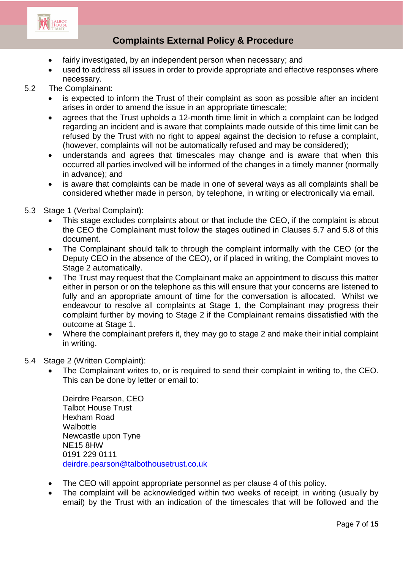

- fairly investigated, by an independent person when necessary; and
- used to address all issues in order to provide appropriate and effective responses where necessary.
- 5.2 The Complainant:
	- is expected to inform the Trust of their complaint as soon as possible after an incident arises in order to amend the issue in an appropriate timescale;
	- agrees that the Trust upholds a 12-month time limit in which a complaint can be lodged regarding an incident and is aware that complaints made outside of this time limit can be refused by the Trust with no right to appeal against the decision to refuse a complaint, (however, complaints will not be automatically refused and may be considered);
	- understands and agrees that timescales may change and is aware that when this occurred all parties involved will be informed of the changes in a timely manner (normally in advance); and
	- is aware that complaints can be made in one of several ways as all complaints shall be considered whether made in person, by telephone, in writing or electronically via email.
- 5.3 Stage 1 (Verbal Complaint):
	- This stage excludes complaints about or that include the CEO, if the complaint is about the CEO the Complainant must follow the stages outlined in Clauses 5.7 and 5.8 of this document.
	- The Complainant should talk to through the complaint informally with the CEO (or the Deputy CEO in the absence of the CEO), or if placed in writing, the Complaint moves to Stage 2 automatically.
	- The Trust may request that the Complainant make an appointment to discuss this matter either in person or on the telephone as this will ensure that your concerns are listened to fully and an appropriate amount of time for the conversation is allocated. Whilst we endeavour to resolve all complaints at Stage 1, the Complainant may progress their complaint further by moving to Stage 2 if the Complainant remains dissatisfied with the outcome at Stage 1.
	- Where the complainant prefers it, they may go to stage 2 and make their initial complaint in writing.
- 5.4 Stage 2 (Written Complaint):
	- The Complainant writes to, or is required to send their complaint in writing to, the CEO. This can be done by letter or email to:

Deirdre Pearson, CEO Talbot House Trust Hexham Road Walbottle Newcastle upon Tyne NE15 8HW 0191 229 0111 [deirdre.pearson@talbothousetrust.co.uk](mailto:deirdre.pearson@talbothousetrust.co.uk)

- The CEO will appoint appropriate personnel as per clause 4 of this policy.
- The complaint will be acknowledged within two weeks of receipt, in writing (usually by email) by the Trust with an indication of the timescales that will be followed and the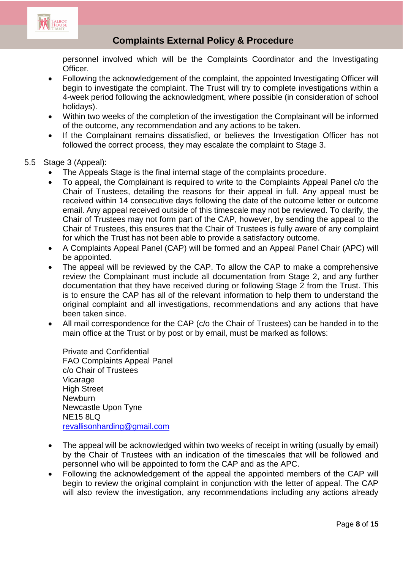

personnel involved which will be the Complaints Coordinator and the Investigating Officer.

- Following the acknowledgement of the complaint, the appointed Investigating Officer will begin to investigate the complaint. The Trust will try to complete investigations within a 4-week period following the acknowledgment, where possible (in consideration of school holidays).
- Within two weeks of the completion of the investigation the Complainant will be informed of the outcome, any recommendation and any actions to be taken.
- If the Complainant remains dissatisfied, or believes the Investigation Officer has not followed the correct process, they may escalate the complaint to Stage 3.

### 5.5 Stage 3 (Appeal):

- The Appeals Stage is the final internal stage of the complaints procedure.
- To appeal, the Complainant is required to write to the Complaints Appeal Panel c/o the Chair of Trustees, detailing the reasons for their appeal in full. Any appeal must be received within 14 consecutive days following the date of the outcome letter or outcome email. Any appeal received outside of this timescale may not be reviewed. To clarify, the Chair of Trustees may not form part of the CAP, however, by sending the appeal to the Chair of Trustees, this ensures that the Chair of Trustees is fully aware of any complaint for which the Trust has not been able to provide a satisfactory outcome.
- A Complaints Appeal Panel (CAP) will be formed and an Appeal Panel Chair (APC) will be appointed.
- The appeal will be reviewed by the CAP. To allow the CAP to make a comprehensive review the Complainant must include all documentation from Stage 2, and any further documentation that they have received during or following Stage 2 from the Trust. This is to ensure the CAP has all of the relevant information to help them to understand the original complaint and all investigations, recommendations and any actions that have been taken since.
- All mail correspondence for the CAP (c/o the Chair of Trustees) can be handed in to the main office at the Trust or by post or by email, must be marked as follows:

Private and Confidential FAO Complaints Appeal Panel c/o Chair of Trustees Vicarage High Street **Newburn** Newcastle Upon Tyne NE15 8LQ [revallisonharding@gmail.com](mailto:revallisonharding@gmail.com)

- The appeal will be acknowledged within two weeks of receipt in writing (usually by email) by the Chair of Trustees with an indication of the timescales that will be followed and personnel who will be appointed to form the CAP and as the APC.
- Following the acknowledgement of the appeal the appointed members of the CAP will begin to review the original complaint in conjunction with the letter of appeal. The CAP will also review the investigation, any recommendations including any actions already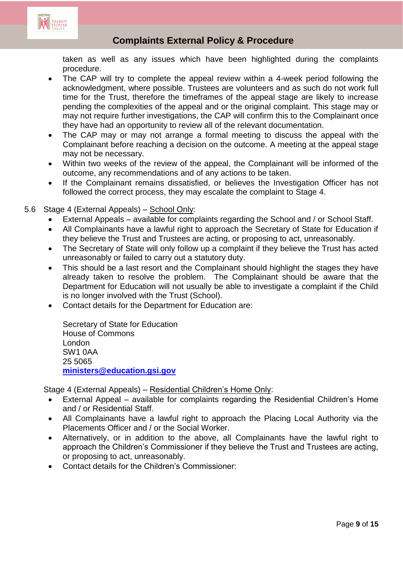

taken as well as any issues which have been highlighted during the complaints procedure.

- The CAP will try to complete the appeal review within a 4-week period following the acknowledgment, where possible. Trustees are volunteers and as such do not work full time for the Trust, therefore the timeframes of the appeal stage are likely to increase pending the complexities of the appeal and or the original complaint. This stage may or may not require further investigations, the CAP will confirm this to the Complainant once they have had an opportunity to review all of the relevant documentation.
- The CAP may or may not arrange a formal meeting to discuss the appeal with the Complainant before reaching a decision on the outcome. A meeting at the appeal stage may not be necessary.
- Within two weeks of the review of the appeal, the Complainant will be informed of the outcome, any recommendations and of any actions to be taken.
- If the Complainant remains dissatisfied, or believes the Investigation Officer has not followed the correct process, they may escalate the complaint to Stage 4.
- 5.6 Stage 4 (External Appeals) School Only:
	- External Appeals available for complaints regarding the School and / or School Staff.
	- All Complainants have a lawful right to approach the Secretary of State for Education if they believe the Trust and Trustees are acting, or proposing to act, unreasonably.
	- The Secretary of State will only follow up a complaint if they believe the Trust has acted unreasonably or failed to carry out a statutory duty.
	- This should be a last resort and the Complainant should highlight the stages they have already taken to resolve the problem. The Complainant should be aware that the Department for Education will not usually be able to investigate a complaint if the Child is no longer involved with the Trust (School).
	- Contact details for the Department for Education are:

Secretary of State for Education House of Commons London SW1 0AA 25 5065 **[ministers@education.gsi.gov](mailto:ministers@education.gsi.gov)**

Stage 4 (External Appeals) – Residential Children's Home Only:

- External Appeal available for complaints regarding the Residential Children's Home and / or Residential Staff.
- All Complainants have a lawful right to approach the Placing Local Authority via the Placements Officer and / or the Social Worker.
- Alternatively, or in addition to the above, all Complainants have the lawful right to approach the Children's Commissioner if they believe the Trust and Trustees are acting, or proposing to act, unreasonably.
- Contact details for the Children's Commissioner: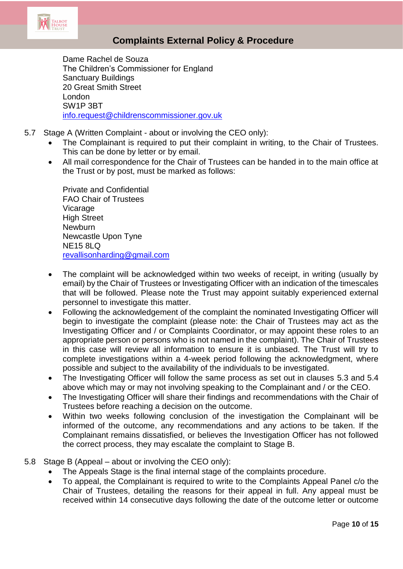

Dame Rachel de Souza The Children's Commissioner for England Sanctuary Buildings 20 Great Smith Street London SW1P 3BT [info.request@childrenscommissioner.gov.uk](mailto:info.request@childrenscommissioner.gov.uk)

- 5.7 Stage A (Written Complaint about or involving the CEO only):
	- The Complainant is required to put their complaint in writing, to the Chair of Trustees. This can be done by letter or by email.
	- All mail correspondence for the Chair of Trustees can be handed in to the main office at the Trust or by post, must be marked as follows:

Private and Confidential FAO Chair of Trustees Vicarage High Street **Newburn** Newcastle Upon Tyne NE15 8LQ [revallisonharding@gmail.com](mailto:revallisonharding@gmail.com)

- The complaint will be acknowledged within two weeks of receipt, in writing (usually by email) by the Chair of Trustees or Investigating Officer with an indication of the timescales that will be followed. Please note the Trust may appoint suitably experienced external personnel to investigate this matter.
- Following the acknowledgement of the complaint the nominated Investigating Officer will begin to investigate the complaint (please note: the Chair of Trustees may act as the Investigating Officer and / or Complaints Coordinator, or may appoint these roles to an appropriate person or persons who is not named in the complaint). The Chair of Trustees in this case will review all information to ensure it is unbiased. The Trust will try to complete investigations within a 4-week period following the acknowledgment, where possible and subject to the availability of the individuals to be investigated.
- The Investigating Officer will follow the same process as set out in clauses 5.3 and 5.4 above which may or may not involving speaking to the Complainant and / or the CEO.
- The Investigating Officer will share their findings and recommendations with the Chair of Trustees before reaching a decision on the outcome.
- Within two weeks following conclusion of the investigation the Complainant will be informed of the outcome, any recommendations and any actions to be taken. If the Complainant remains dissatisfied, or believes the Investigation Officer has not followed the correct process, they may escalate the complaint to Stage B.
- 5.8 Stage B (Appeal about or involving the CEO only):
	- The Appeals Stage is the final internal stage of the complaints procedure.
	- To appeal, the Complainant is required to write to the Complaints Appeal Panel c/o the Chair of Trustees, detailing the reasons for their appeal in full. Any appeal must be received within 14 consecutive days following the date of the outcome letter or outcome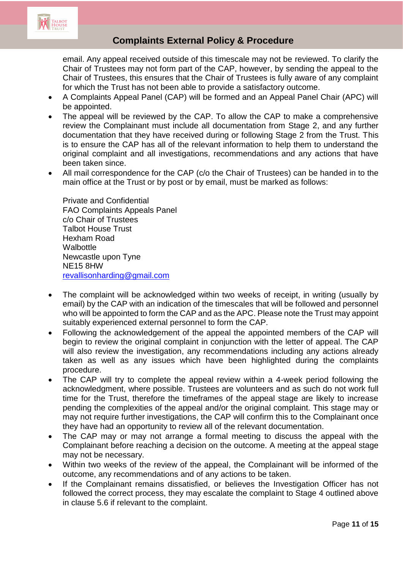

email. Any appeal received outside of this timescale may not be reviewed. To clarify the Chair of Trustees may not form part of the CAP, however, by sending the appeal to the Chair of Trustees, this ensures that the Chair of Trustees is fully aware of any complaint for which the Trust has not been able to provide a satisfactory outcome.

- A Complaints Appeal Panel (CAP) will be formed and an Appeal Panel Chair (APC) will be appointed.
- The appeal will be reviewed by the CAP. To allow the CAP to make a comprehensive review the Complainant must include all documentation from Stage 2, and any further documentation that they have received during or following Stage 2 from the Trust. This is to ensure the CAP has all of the relevant information to help them to understand the original complaint and all investigations, recommendations and any actions that have been taken since.
- All mail correspondence for the CAP (c/o the Chair of Trustees) can be handed in to the main office at the Trust or by post or by email, must be marked as follows:

Private and Confidential FAO Complaints Appeals Panel c/o Chair of Trustees Talbot House Trust Hexham Road **Walbottle** Newcastle upon Tyne NE15 8HW [revallisonharding@gmail.com](mailto:revallisonharding@gmail.com)

- The complaint will be acknowledged within two weeks of receipt, in writing (usually by email) by the CAP with an indication of the timescales that will be followed and personnel who will be appointed to form the CAP and as the APC. Please note the Trust may appoint suitably experienced external personnel to form the CAP.
- Following the acknowledgement of the appeal the appointed members of the CAP will begin to review the original complaint in conjunction with the letter of appeal. The CAP will also review the investigation, any recommendations including any actions already taken as well as any issues which have been highlighted during the complaints procedure.
- The CAP will try to complete the appeal review within a 4-week period following the acknowledgment, where possible. Trustees are volunteers and as such do not work full time for the Trust, therefore the timeframes of the appeal stage are likely to increase pending the complexities of the appeal and/or the original complaint. This stage may or may not require further investigations, the CAP will confirm this to the Complainant once they have had an opportunity to review all of the relevant documentation.
- The CAP may or may not arrange a formal meeting to discuss the appeal with the Complainant before reaching a decision on the outcome. A meeting at the appeal stage may not be necessary.
- Within two weeks of the review of the appeal, the Complainant will be informed of the outcome, any recommendations and of any actions to be taken.
- If the Complainant remains dissatisfied, or believes the Investigation Officer has not followed the correct process, they may escalate the complaint to Stage 4 outlined above in clause 5.6 if relevant to the complaint.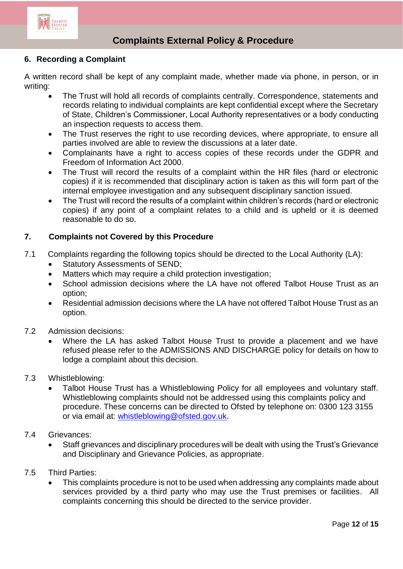

### **6. Recording a Complaint**

A written record shall be kept of any complaint made, whether made via phone, in person, or in writing:

- The Trust will hold all records of complaints centrally. Correspondence, statements and records relating to individual complaints are kept confidential except where the Secretary of State, Children's Commissioner, Local Authority representatives or a body conducting an inspection requests to access them.
- The Trust reserves the right to use recording devices, where appropriate, to ensure all parties involved are able to review the discussions at a later date.
- Complainants have a right to access copies of these records under the GDPR and Freedom of Information Act 2000.
- The Trust will record the results of a complaint within the HR files (hard or electronic copies) if it is recommended that disciplinary action is taken as this will form part of the internal employee investigation and any subsequent disciplinary sanction issued.
- The Trust will record the results of a complaint within children's records (hard or electronic copies) if any point of a complaint relates to a child and is upheld or it is deemed reasonable to do so.

### **7. Complaints not Covered by this Procedure**

- 7.1 Complaints regarding the following topics should be directed to the Local Authority (LA):
	- Statutory Assessments of SEND;
	- Matters which may require a child protection investigation;
	- School admission decisions where the LA have not offered Talbot House Trust as an option;
	- Residential admission decisions where the LA have not offered Talbot House Trust as an option.
- 7.2 Admission decisions:
	- Where the LA has asked Talbot House Trust to provide a placement and we have refused please refer to the ADMISSIONS AND DISCHARGE policy for details on how to lodge a complaint about this decision.
- 7.3 Whistleblowing:
	- Talbot House Trust has a Whistleblowing Policy for all employees and voluntary staff. Whistleblowing complaints should not be addressed using this complaints policy and procedure. These concerns can be directed to Ofsted by telephone on: 0300 123 3155 or via email at: [whistleblowing@ofsted.gov.uk.](mailto:whistleblowing@ofsted.gov.uk)
- 7.4 Grievances:
	- Staff grievances and disciplinary procedures will be dealt with using the Trust's Grievance and Disciplinary and Grievance Policies, as appropriate.
- 7.5 Third Parties:
	- This complaints procedure is not to be used when addressing any complaints made about services provided by a third party who may use the Trust premises or facilities. All complaints concerning this should be directed to the service provider.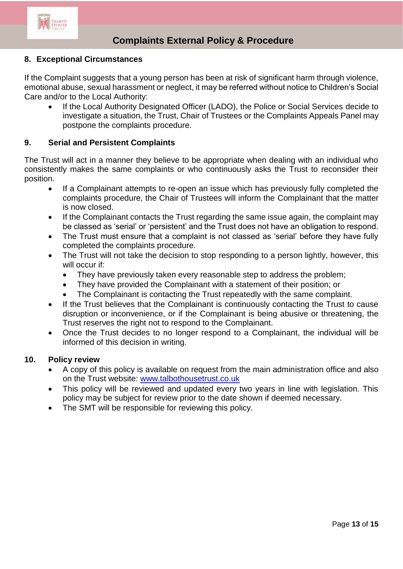

### **8. Exceptional Circumstances**

If the Complaint suggests that a young person has been at risk of significant harm through violence, emotional abuse, sexual harassment or neglect, it may be referred without notice to Children's Social Care and/or to the Local Authority:

 If the Local Authority Designated Officer (LADO), the Police or Social Services decide to investigate a situation, the Trust, Chair of Trustees or the Complaints Appeals Panel may postpone the complaints procedure.

#### **9. Serial and Persistent Complaints**

The Trust will act in a manner they believe to be appropriate when dealing with an individual who consistently makes the same complaints or who continuously asks the Trust to reconsider their position.

- If a Complainant attempts to re-open an issue which has previously fully completed the complaints procedure, the Chair of Trustees will inform the Complainant that the matter is now closed.
- If the Complainant contacts the Trust regarding the same issue again, the complaint may be classed as 'serial' or 'persistent' and the Trust does not have an obligation to respond.
- The Trust must ensure that a complaint is not classed as 'serial' before they have fully completed the complaints procedure.
- The Trust will not take the decision to stop responding to a person lightly, however, this will occur if:
	- They have previously taken every reasonable step to address the problem;
	- They have provided the Complainant with a statement of their position; or
	- The Complainant is contacting the Trust repeatedly with the same complaint.
- If the Trust believes that the Complainant is continuously contacting the Trust to cause disruption or inconvenience, or if the Complainant is being abusive or threatening, the Trust reserves the right not to respond to the Complainant.
- Once the Trust decides to no longer respond to a Complainant, the individual will be informed of this decision in writing.

#### **10. Policy review**

- A copy of this policy is available on request from the main administration office and also on the Trust website: [www.talbothousetrust.co.uk](http://www.talbothousetrust.co.uk/)
- This policy will be reviewed and updated every two years in line with legislation. This policy may be subject for review prior to the date shown if deemed necessary.
- The SMT will be responsible for reviewing this policy.